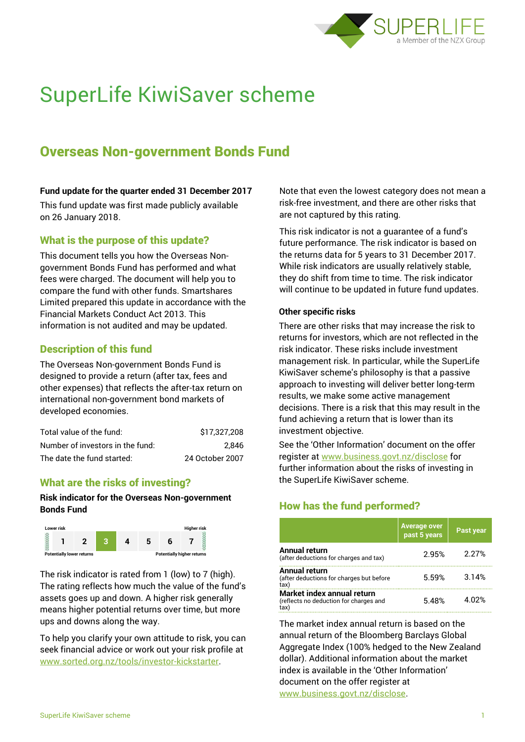

# SuperLife KiwiSaver scheme

# Overseas Non-government Bonds Fund

#### **Fund update for the quarter ended 31 December 2017**

This fund update was first made publicly available on 26 January 2018.

## What is the purpose of this update?

This document tells you how the Overseas Nongovernment Bonds Fund has performed and what fees were charged. The document will help you to compare the fund with other funds. Smartshares Limited prepared this update in accordance with the Financial Markets Conduct Act 2013. This information is not audited and may be updated.

## Description of this fund

The Overseas Non-government Bonds Fund is designed to provide a return (after tax, fees and other expenses) that reflects the after-tax return on international non-government bond markets of developed economies.

| Total value of the fund:         | \$17,327,208    |
|----------------------------------|-----------------|
| Number of investors in the fund: | 2.846           |
| The date the fund started:       | 24 October 2007 |

#### What are the risks of investing?

#### **Risk indicator for the Overseas Non-government Bonds Fund**



The risk indicator is rated from 1 (low) to 7 (high). The rating reflects how much the value of the fund's assets goes up and down. A higher risk generally means higher potential returns over time, but more ups and downs along the way.

To help you clarify your own attitude to risk, you can seek financial advice or work out your risk profile at [www.sorted.org.nz/tools/investor-kickstarter.](http://www.sorted.org.nz/tools/investor-kickstarter)

Note that even the lowest category does not mean a risk-free investment, and there are other risks that are not captured by this rating.

This risk indicator is not a guarantee of a fund's future performance. The risk indicator is based on the returns data for 5 years to 31 December 2017. While risk indicators are usually relatively stable, they do shift from time to time. The risk indicator will continue to be updated in future fund updates.

#### **Other specific risks**

There are other risks that may increase the risk to returns for investors, which are not reflected in the risk indicator. These risks include investment management risk. In particular, while the SuperLife KiwiSaver scheme's philosophy is that a passive approach to investing will deliver better long-term results, we make some active management decisions. There is a risk that this may result in the fund achieving a return that is lower than its investment objective.

See the 'Other Information' document on the offer register at www.business.govt.nz/disclose for further information about the risks of investing in the SuperLife KiwiSaver scheme.

# How has the fund performed?

|                                                                      | <b>Average over</b><br>past 5 years | <u>'Past</u> year |
|----------------------------------------------------------------------|-------------------------------------|-------------------|
| Annual return<br>(after deductions for charges and tax)              | 2.95%                               | 2 27%             |
| Annual return<br>(after deductions for charges but before<br>tax'    | 5.59%                               | 3.14%             |
| Market index annual return<br>(reflects no deduction for charges and | 5.48%                               | 4 በ2%             |

The market index annual return is based on the annual return of the Bloomberg Barclays Global Aggregate Index (100% hedged to the New Zealand dollar). Additional information about the market index is available in the 'Other Information' document on the offer register at www.business.govt.nz/disclose.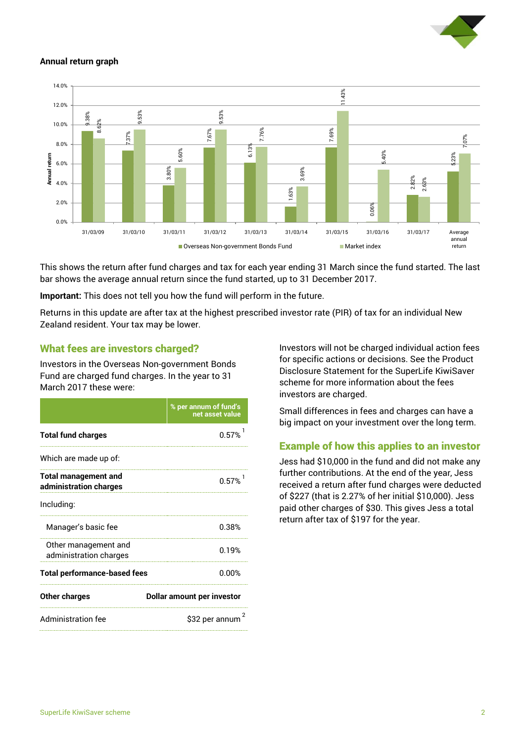

#### **Annual return graph**



This shows the return after fund charges and tax for each year ending 31 March since the fund started. The last bar shows the average annual return since the fund started, up to 31 December 2017.

**Important:** This does not tell you how the fund will perform in the future.

Returns in this update are after tax at the highest prescribed investor rate (PIR) of tax for an individual New Zealand resident. Your tax may be lower.

#### What fees are investors charged?

Investors in the Overseas Non-government Bonds Fund are charged fund charges. In the year to 31 March 2017 these were:

|                                                       | % per annum of fund's<br>net asset value |  |
|-------------------------------------------------------|------------------------------------------|--|
| <b>Total fund charges</b>                             | 0.57%                                    |  |
| Which are made up of:                                 |                                          |  |
| <b>Total management and</b><br>administration charges | 0.57%                                    |  |
| Including:                                            |                                          |  |
| Manager's basic fee                                   | 0.38%                                    |  |
| Other management and<br>administration charges        | 0.19%                                    |  |
| <b>Total performance-based fees</b>                   | 0.00%                                    |  |
| <b>Other charges</b>                                  | <b>Dollar amount per investor</b>        |  |
| <b>Administration fee</b>                             | 2<br>\$32 per annum                      |  |

Investors will not be charged individual action fees for specific actions or decisions. See the Product Disclosure Statement for the SuperLife KiwiSaver scheme for more information about the fees investors are charged.

Small differences in fees and charges can have a big impact on your investment over the long term.

#### Example of how this applies to an investor

Jess had \$10,000 in the fund and did not make any further contributions. At the end of the year, Jess received a return after fund charges were deducted of \$227 (that is 2.27% of her initial \$10,000). Jess paid other charges of \$30. This gives Jess a total return after tax of \$197 for the year.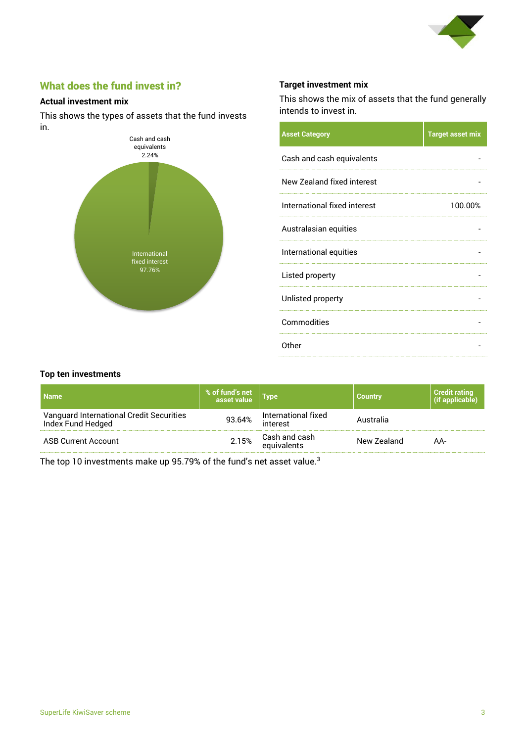

# What does the fund invest in?

#### **Actual investment mix**

This shows the types of assets that the fund invests in.



#### **Target investment mix**

This shows the mix of assets that the fund generally intends to invest in.

| <b>Asset Category</b>        | <b>Target asset mix</b> |
|------------------------------|-------------------------|
| Cash and cash equivalents    |                         |
| New Zealand fixed interest   |                         |
| International fixed interest | 100.00%                 |
| Australasian equities        |                         |
| International equities       |                         |
| Listed property              |                         |
| Unlisted property            |                         |
| Commodities                  |                         |
| Other                        |                         |

#### **Top ten investments**

| <b>Name</b>                                                   | % of fund's net<br>asset value | <b>Type</b>                     | <b>Country</b> | <b>Credit rating</b><br>(if applicable) |
|---------------------------------------------------------------|--------------------------------|---------------------------------|----------------|-----------------------------------------|
| Vanguard International Credit Securities<br>Index Fund Hedged | 93.64%                         | International fixed<br>interest | Australia      |                                         |
| <b>ASB Current Account</b>                                    | 2.15%                          | Cash and cash<br>equivalents    | New Zealand    | AA-                                     |

The top 10 investments make up 95.79% of the fund's net asset value.<sup>3</sup>